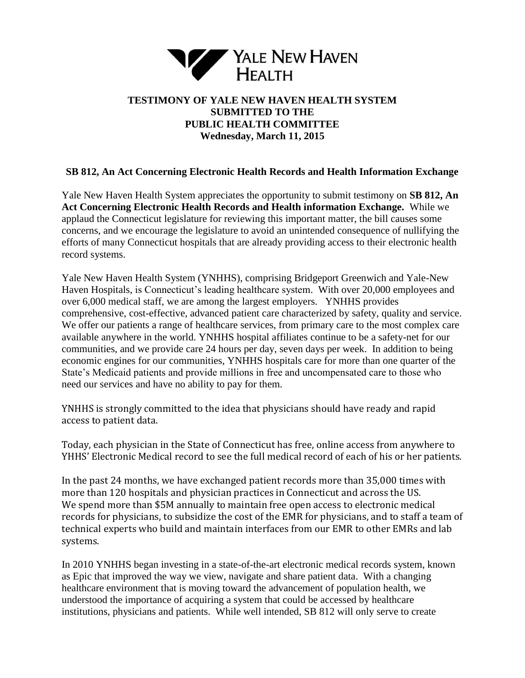

## **TESTIMONY OF YALE NEW HAVEN HEALTH SYSTEM SUBMITTED TO THE PUBLIC HEALTH COMMITTEE Wednesday, March 11, 2015**

## **SB 812, An Act Concerning Electronic Health Records and Health Information Exchange**

Yale New Haven Health System appreciates the opportunity to submit testimony on **SB 812, An Act Concerning Electronic Health Records and Health information Exchange.** While we applaud the Connecticut legislature for reviewing this important matter, the bill causes some concerns, and we encourage the legislature to avoid an unintended consequence of nullifying the efforts of many Connecticut hospitals that are already providing access to their electronic health record systems.

Yale New Haven Health System (YNHHS), comprising Bridgeport Greenwich and Yale-New Haven Hospitals, is Connecticut's leading healthcare system. With over 20,000 employees and over 6,000 medical staff, we are among the largest employers. YNHHS provides comprehensive, cost-effective, advanced patient care characterized by safety, quality and service. We offer our patients a range of healthcare services, from primary care to the most complex care available anywhere in the world. YNHHS hospital affiliates continue to be a safety-net for our communities, and we provide care 24 hours per day, seven days per week. In addition to being economic engines for our communities, YNHHS hospitals care for more than one quarter of the State's Medicaid patients and provide millions in free and uncompensated care to those who need our services and have no ability to pay for them.

YNHHS is strongly committed to the idea that physicians should have ready and rapid access to patient data.

Today, each physician in the State of Connecticut has free, online access from anywhere to YHHS' Electronic Medical record to see the full medical record of each of his or her patients.

In the past 24 months, we have exchanged patient records more than 35,000 times with more than 120 hospitals and physician practices in Connecticut and across the US. We spend more than \$5M annually to maintain free open access to electronic medical records for physicians, to subsidize the cost of the EMR for physicians, and to staff a team of technical experts who build and maintain interfaces from our EMR to other EMRs and lab systems.

In 2010 YNHHS began investing in a state-of-the-art electronic medical records system, known as Epic that improved the way we view, navigate and share patient data. With a changing healthcare environment that is moving toward the advancement of population health, we understood the importance of acquiring a system that could be accessed by healthcare institutions, physicians and patients. While well intended, SB 812 will only serve to create